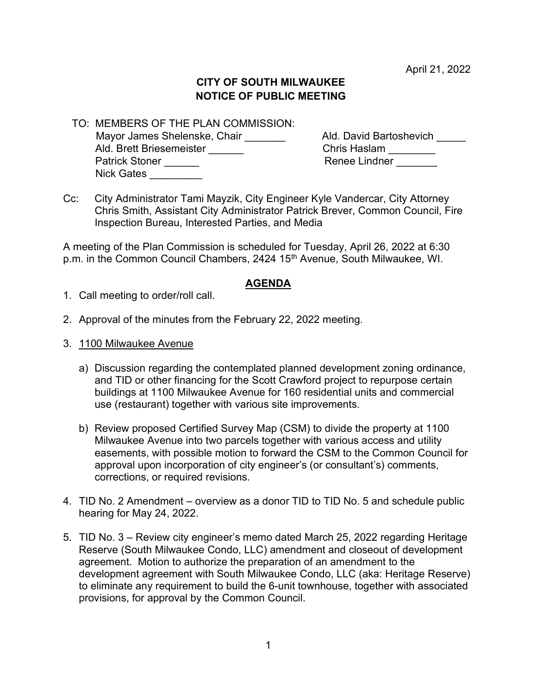April 21, 2022

## CITY OF SOUTH MILWAUKEE NOTICE OF PUBLIC MEETING

 TO: MEMBERS OF THE PLAN COMMISSION: Mayor James Shelenske, Chair \_\_\_\_\_\_\_\_\_ Ald. David Bartoshevich \_\_\_\_\_\_<br>Ald. Brett Briesemeister Chris Haslam \_\_\_\_\_\_\_ Ald. Brett Briesemeister \_\_\_\_\_\_ Patrick Stoner \_\_\_\_\_\_ Renee Lindner \_\_\_\_\_\_\_ Nick Gates

Cc: City Administrator Tami Mayzik, City Engineer Kyle Vandercar, City Attorney Chris Smith, Assistant City Administrator Patrick Brever, Common Council, Fire Inspection Bureau, Interested Parties, and Media

A meeting of the Plan Commission is scheduled for Tuesday, April 26, 2022 at 6:30 p.m. in the Common Council Chambers, 2424 15<sup>th</sup> Avenue, South Milwaukee, WI.

## AGENDA

- 1. Call meeting to order/roll call.
- 2. Approval of the minutes from the February 22, 2022 meeting.
- 3. 1100 Milwaukee Avenue
	- a) Discussion regarding the contemplated planned development zoning ordinance, and TID or other financing for the Scott Crawford project to repurpose certain buildings at 1100 Milwaukee Avenue for 160 residential units and commercial use (restaurant) together with various site improvements.
	- b) Review proposed Certified Survey Map (CSM) to divide the property at 1100 Milwaukee Avenue into two parcels together with various access and utility easements, with possible motion to forward the CSM to the Common Council for approval upon incorporation of city engineer's (or consultant's) comments, corrections, or required revisions.
- 4. TID No. 2 Amendment overview as a donor TID to TID No. 5 and schedule public hearing for May 24, 2022.
- 5. TID No. 3 Review city engineer's memo dated March 25, 2022 regarding Heritage Reserve (South Milwaukee Condo, LLC) amendment and closeout of development agreement. Motion to authorize the preparation of an amendment to the development agreement with South Milwaukee Condo, LLC (aka: Heritage Reserve) to eliminate any requirement to build the 6-unit townhouse, together with associated provisions, for approval by the Common Council.